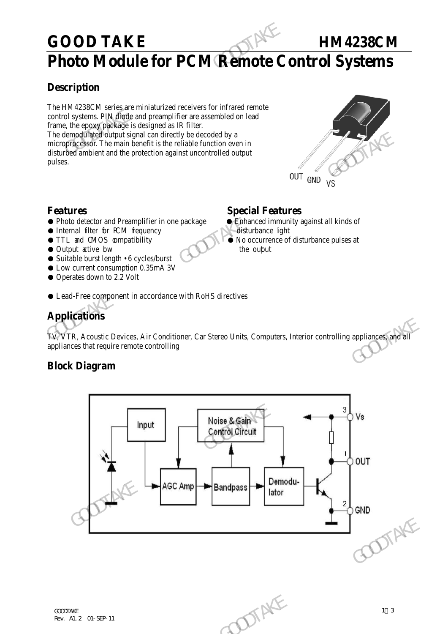## GOOD TAKE **HM4238CM**

## **Photo Module for PCM Remote Control Systems**

#### **Description**

The HM4238CM series are miniaturized receivers for infrared remote control systems. PIN diode and preamplifier are assembled on lead frame, the epoxy package is designed as IR filter. The demodulated output signal can directly be decoded by a microprocessor. The main benefit is the reliable function even in disturbed ambient and the protection against uncontrolled output pulses. **GOOD TAKE**<br> **Photo Module for PCM Remote C**<br> **Description**<br>
The HM4238CM series are miniaturized receivers for infrared remote<br>
control systems. PPN digide and preamplifier are assembled on lead<br>
frame, the epoxyphedage i The demodulate dividend is the change that denoted by a<br>
micropression. The main henefit is the reliable function even in<br>
disturbed ambient and the protection against uncontrolled output<br>
pulses.<br>
Special Features<br>  $\bullet$ 



- **Features**<br>
 Photo detector and Preamplifier in one package<br>
 Enhanced immunity against all kinds of ● Photo detector and Preamplifier in one package
- Internal filter for PCM fequency disturbance lght
- 
- Output active bw the output the output
- Suitable burst length 6 cycles/burst
- Low current consumption 0.35mA 3V
- Operates down to 2.2 Volt

- 
- TTL and CMOS compatibility No occurrence of disturbance pulses at
- Lead-Free component in accordance with RoHS directives

## **Applications**

TV, VTR, Acoustic Devices, Air Conditioner, Car Stereo Units, Computers, Interior controlling appliances, and all appliances that require remote controlling

#### **Block Diagram**

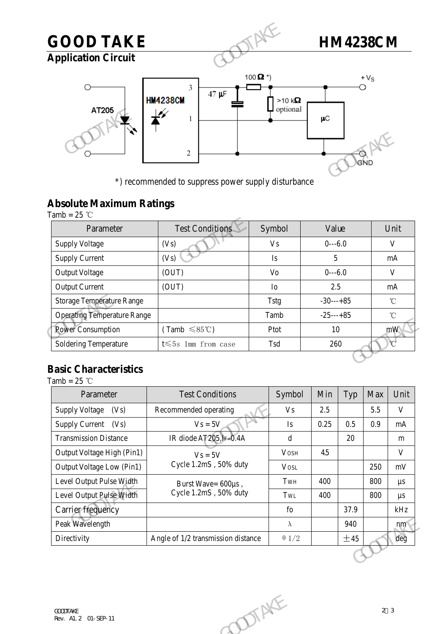## **GOOD TAKE HM4238CM GOOD TAKE**<br>
Application Circuit<br>
AT205<br>
AT205<br>  $\begin{picture}(1000 \text{ m})\n\end{picture}(15000 \text{ m})$ <br>  $\begin{picture}(10000 \text{ m})\n\end{picture}(15000 \text{ m})$ <br>  $\begin{picture}(15000 \text{ m})\n\end{picture}(15000 \text{ m})$ <br>  $\begin{picture}(15000 \text{ m})\n\end{picture}(15000 \text{ m})$ <br>  $\begin{picture}(15000 \text{ m})\n\end{picture}(15000 \text$ **Application Circuit**  $+V_S$  $\circ$  $\mu$ C

### **Absolute Maximum Ratings**

|                                                   | *) recommended to suppress power supply disturbance |             | GND         |      |
|---------------------------------------------------|-----------------------------------------------------|-------------|-------------|------|
| <b>Absolute Maximum Ratings</b><br>Tamb = $25$ °C |                                                     |             |             |      |
| Parameter                                         | <b>Test Conditions</b>                              | Symbol      | Value       | Unit |
| <b>Supply Voltage</b>                             | (Vs)                                                | <b>Vs</b>   | $0--6.0$    |      |
| <b>Supply Current</b>                             | (Vs)                                                | Is          | 5           |      |
| <b>Output Voltage</b>                             | (OUT)                                               | Vo          | $0--6.0$    |      |
| <b>Output Current</b>                             | (OUT)                                               | Io          | 2.5         |      |
| <b>Storage Temperature Range</b>                  |                                                     | <b>Tstg</b> | $-30---+85$ |      |
| <b>Operating Temperature Range</b>                |                                                     | Tamb        | $-25---+85$ |      |
| Power Consumption                                 | $(Tamb \leq 85^{\circ}C)$                           | Ptot        | 10          |      |
| <b>Soldering Temperature</b>                      | t $\leqslant$ 5s 1mm from case                      | Tsd         | 260         |      |

#### **Basic Characteristics**

Tamb =  $25$  °C

| $\mathbf{r}$<br>$\mathbb{R}^n$ is the set of $\mathbb{R}^n$ |                                             |              |      |      |     |                |  |
|-------------------------------------------------------------|---------------------------------------------|--------------|------|------|-----|----------------|--|
| <b>Power Consumption</b>                                    | $(Tamb \leq 85^{\circ}C)$                   | Ptot         | 10   |      |     | mW             |  |
| <b>Soldering Temperature</b>                                | t $\leqslant$ 5s 1mm from case              | Tsd          | 260  |      |     | $\mathcal{C}$  |  |
| <b>Basic Characteristics</b>                                |                                             |              |      |      |     |                |  |
| $\text{Tamb} = 25 \text{ }^{\circ}\text{C}$                 |                                             |              |      |      |     |                |  |
| Parameter                                                   | <b>Test Conditions</b>                      | Symbol       | Min  | Typ  | Max | Unit           |  |
| <b>Supply Voltage</b><br>(Vs)                               | Recommended operating                       | <b>Vs</b>    | 2.5  |      | 5.5 | $\mathbf{V}$   |  |
| Supply Current (Vs)                                         | $Vs = 5V$                                   | Is           | 0.25 | 0.5  | 0.9 | mA             |  |
| <b>Transmission Distance</b>                                | IR diode AT205, IF=0.4A                     | $\rm d$      |      | 20   |     | m              |  |
| Output Voltage High (Pin1)                                  | $V_s = 5V$                                  | <b>VOSH</b>  | 4.5  |      |     | $\mathbf{V}$   |  |
| Output Voltage Low (Pin1)                                   | Cycle 1.2mS, 50% duty                       | <b>VOSL</b>  |      |      | 250 | mV             |  |
| Level Output Pulse Width                                    | Burst Wave= 600µs,<br>Cycle 1.2mS, 50% duty | TwH          | 400  |      | 800 | $\mu s$        |  |
| Level Output Pulse Width                                    |                                             | TwL          | 400  |      | 800 | $\mu s$        |  |
| Carrier frequency                                           |                                             | fo           |      | 37.9 |     | kHz            |  |
| Peak Wavelength                                             |                                             | $\lambda$    |      | 940  |     | nm             |  |
| Directivity                                                 | Angle of 1/2 transmission distance          | $\theta$ 1/2 |      | ±45  |     | deg            |  |
|                                                             |                                             |              |      |      |     |                |  |
|                                                             |                                             |              |      |      |     |                |  |
|                                                             |                                             |              |      |      |     |                |  |
|                                                             |                                             |              |      |      |     |                |  |
| <b><i>GOODTAKE</i></b><br>Rev. Al. 2 01-SEP-11              | DIAKE                                       |              |      |      |     | 2 <sup>3</sup> |  |
|                                                             |                                             |              |      |      |     |                |  |